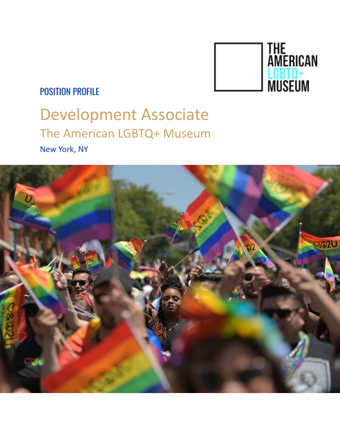

### POSITION PROFILE

# Development Associate The American LGBTQ+ Museum New York, NY

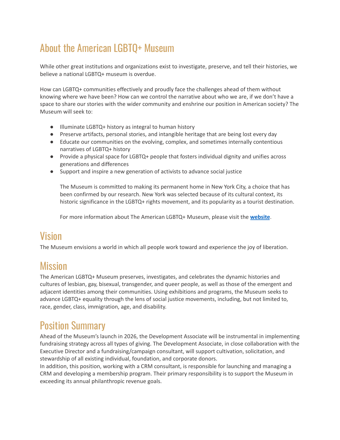# About the American LGBTQ+ Museum

While other great institutions and organizations exist to investigate, preserve, and tell their histories, we believe a national LGBTQ+ museum is overdue.

How can LGBTQ+ communities effectively and proudly face the challenges ahead of them without knowing where we have been? How can we control the narrative about who we are, if we don't have a space to share our stories with the wider community and enshrine our position in American society? The Museum will seek to:

- Illuminate LGBTQ+ history as integral to human history
- Preserve artifacts, personal stories, and intangible heritage that are being lost every day
- Educate our communities on the evolving, complex, and sometimes internally contentious narratives of LGBTQ+ history
- Provide a physical space for LGBTQ+ people that fosters individual dignity and unifies across generations and differences
- Support and inspire a new generation of activists to advance social justice

The Museum is committed to making its permanent home in New York City, a choice that has been confirmed by our research. New York was selected because of its cultural context, its historic significance in the LGBTQ+ rights movement, and its popularity as a tourist destination.

For more information about The American LGBTQ+ Museum, please visit the **[website](https://americanlgbtqmuseum.org/)**.

### Vision

The Museum envisions a world in which all people work toward and experience the joy of liberation.

### **Mission**

The American LGBTQ+ Museum preserves, investigates, and celebrates the dynamic histories and cultures of lesbian, gay, bisexual, transgender, and queer people, as well as those of the emergent and adjacent identities among their communities. Using exhibitions and programs, the Museum seeks to advance LGBTQ+ equality through the lens of social justice movements, including, but not limited to, race, gender, class, immigration, age, and disability.

# Position Summary

Ahead of the Museum's launch in 2026, the Development Associate will be instrumental in implementing fundraising strategy across all types of giving. The Development Associate, in close collaboration with the Executive Director and a fundraising/campaign consultant, will support cultivation, solicitation, and stewardship of all existing individual, foundation, and corporate donors.

In addition, this position, working with a CRM consultant, is responsible for launching and managing a CRM and developing a membership program. Their primary responsibility is to support the Museum in exceeding its annual philanthropic revenue goals.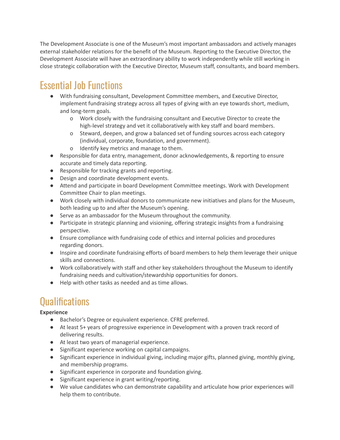The Development Associate is one of the Museum's most important ambassadors and actively manages external stakeholder relations for the benefit of the Museum. Reporting to the Executive Director, the Development Associate will have an extraordinary ability to work independently while still working in close strategic collaboration with the Executive Director, Museum staff, consultants, and board members.

# Essential Job Functions

- With fundraising consultant, Development Committee members, and Executive Director, implement fundraising strategy across all types of giving with an eye towards short, medium, and long-term goals.
	- o Work closely with the fundraising consultant and Executive Director to create the high-level strategy and vet it collaboratively with key staff and board members.
	- o Steward, deepen, and grow a balanced set of funding sources across each category (individual, corporate, foundation, and government).
	- o Identify key metrics and manage to them.
- Responsible for data entry, management, donor acknowledgements, & reporting to ensure accurate and timely data reporting.
- Responsible for tracking grants and reporting.
- Design and coordinate development events.
- Attend and participate in board Development Committee meetings. Work with Development Committee Chair to plan meetings.
- Work closely with individual donors to communicate new initiatives and plans for the Museum, both leading up to and after the Museum's opening.
- Serve as an ambassador for the Museum throughout the community.
- Participate in strategic planning and visioning, offering strategic insights from a fundraising perspective.
- Ensure compliance with fundraising code of ethics and internal policies and procedures regarding donors.
- Inspire and coordinate fundraising efforts of board members to help them leverage their unique skills and connections.
- Work collaboratively with staff and other key stakeholders throughout the Museum to identify fundraising needs and cultivation/stewardship opportunities for donors.
- Help with other tasks as needed and as time allows.

# **Qualifications**

#### **Experience**

- Bachelor's Degree or equivalent experience. CFRE preferred.
- At least 5+ years of progressive experience in Development with a proven track record of delivering results.
- At least two years of managerial experience.
- Significant experience working on capital campaigns.
- Significant experience in individual giving, including major gifts, planned giving, monthly giving, and membership programs.
- Significant experience in corporate and foundation giving.
- Significant experience in grant writing/reporting.
- We value candidates who can demonstrate capability and articulate how prior experiences will help them to contribute.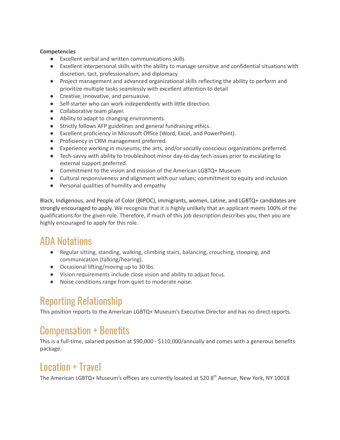#### **Competencies**

- Excellent verbal and written communications skills
- Excellent interpersonal skills with the ability to manage sensitive and confidential situations with discretion, tact, professionalism, and diplomacy
- Project management and advanced organizational skills reflecting the ability to perform and prioritize multiple tasks seamlessly with excellent attention to detail
- Creative, innovative, and persuasive.
- Self-starter who can work independently with little direction.
- Collaborative team player.
- Ability to adapt to changing environments.
- Strictly follows AFP guidelines and general fundraising ethics.
- Excellent proficiency in Microsoft Office (Word, Excel, and PowerPoint).
- Proficiency in CRM management preferred.
- Experience working in museums, the arts, and/or socially conscious organizations preferred.
- Tech-savvy with ability to troubleshoot minor day-to-day tech issues prior to escalating to external support preferred.
- Commitment to the vision and mission of the American LGBTQ+ Museum
- Cultural responsiveness and alignment with our values; commitment to equity and inclusion
- Personal qualities of humility and empathy

Black, Indigenous, and People of Color (BIPOC), immigrants, women, Latine, and LGBTQ+ candidates are strongly encouraged to apply. We recognize that it is highly unlikely that an applicant meets 100% of the qualifications for the given role. Therefore, if much of this job description describes you, then you are highly encouraged to apply for this role.

### ADA Notations

- Regular sitting, standing, walking, climbing stairs, balancing, crouching, stooping, and communication (talking/hearing).
- Occasional lifting/moving up to 30 lbs.
- Vision requirements include close vision and ability to adjust focus.
- Noise conditions range from quiet to moderate noise.

### Reporting Relationship

This position reports to the American LGBTQ+ Museum's Executive Director and has no direct reports.

# Compensation + Benefits

This is a full-time, salaried position at \$90,000 - \$110,000/annually and comes with a generous benefits package.

### Location + Travel

The American LGBTQ+ Museum's offices are currently located at 520 8<sup>th</sup> Avenue, New York, NY 10018